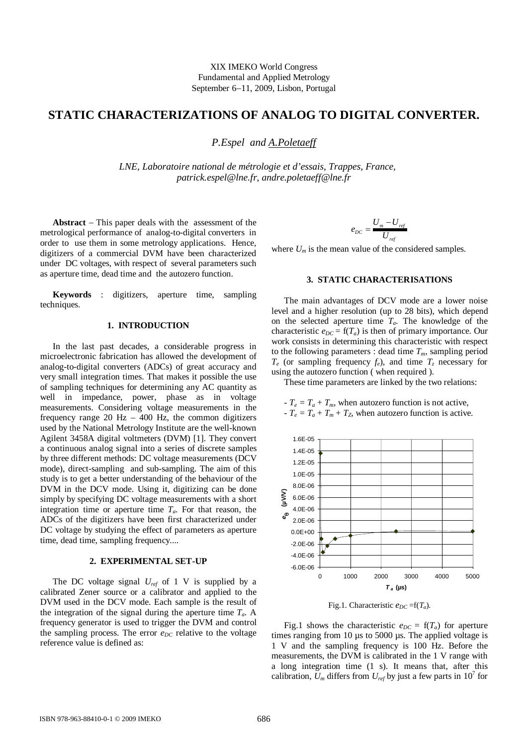# STATIC CHARACTERIZAT IONS OF ANALOG TO DI GITAL CONVERTER.

## P.Espel and A.Poletaeff

LNE, Laboratoire national de métrologie et d'essais, Trappes, France, patrick.espel@lne.frandre.poletaeff@lne.fr

Abstract - This paper deals with the assessment of the metrological performance of analog digital converters in order to use them in some metrologyplications. Hence, digitizers of a commercial DVM have been characterized under DC voltages, with respect of several parameters such as aperture time, dead time and the autozero function.  $\psi$ here $\bigcup_{m}$  is the mean value of the considered samples.

Keywords : digitizers, aperture time, sampling techniques.

#### 1. INTRODUCTION

In the last past decades, a considerable progress  $\lim_{n\to\infty}$ microelectronic fabrication has allowed the development of analog-to-digital converters (ADCs) of great accuracy and very small integration times. That makes it possible the use the autozero function (when required). of sampling techniques for determining any AC quantity as well in impedance, power, phase as in voltage measurements. Considering voltage measurements in the frequency range 20 Hz 400 Hz, the common digitizers used by the National Metrology Institute are the wabwn Agilent 3458A digital voltmeters (DVM) [1]. They convert a continuous analog signal into a series of discrete sample by three different methods: DC voltage measurements (DC' mode), directsampling and subampling. The aim of this study is to get better understanding of the behaviour of the DVM in the DCV mode. Using it, digitizing can be done simply by specifying DC voltage measurements with a shor integration time or aperture time<sub>a</sub>. For that reason, the ADCs of the digitizers have been first haracterized under DC voltageby studying the effect of parameters as tape time, dead time, sampling frequency... .

### 2. EXPERIMENTAL SET -UP

The DC voltage signa $U_{ref}$  of 1 V is supplied by a calibrated Zener source or a calibrator and applied to the DVM used in the DCV mode. Each sample is the result of the integration of the signal during the aperture time  $A$ frequency generator is used to trigger the DVM and control

the sampling process. The erreg<sub>c</sub> relative to the voltage reference value is deed as:

$$
\mathbf{e}_{\text{DC}} = \frac{\mathbf{U}_{\text{m}} - \mathbf{U}_{\text{ref}}}{\mathbf{U}_{\text{ref}}}
$$

#### 3. STATIC CHARACTER ISATIONS

The main advantages of DCV mode are a lower noise level and a higher resolution (up to 28 bits), which depend on the selected aperture the T<sub>a</sub>. The knowledge of the characteristic<sub>tic</sub> = f(T<sub>a</sub>) is then of primary importance. Our work consists in determining this characteristic with respect  $\uppsi$  the following parameters : dead time sampling period  $T_e$  (or sampling frequenc $y_e$ ), and time  $T_z$  necessary for using the autozero function ( when required ).

These time parameters are linked by the two relations:

-  $T_e = T_a + T_m$ , when autozero function is not active,  $-T_e = T_a + T_m + T_z$ , when autozero function is active.



Fig.1. Characteristic  $E_{DC} = f(T_a)$ .

Fig.1 shows the characteristig<sub>nc</sub> =  $f(T_a)$  for aperture timesranging from 10 µs to 5000 µs. The applied voltage is 1 V and the sampling frequency is 100 Hz. Before the measurements, the DVM is calibrated in the 1 V range with a long integration time (1 s). It means that, after this calibration,  $U_m$  differs from  $U_{ref}$  by just a few parts in 100 or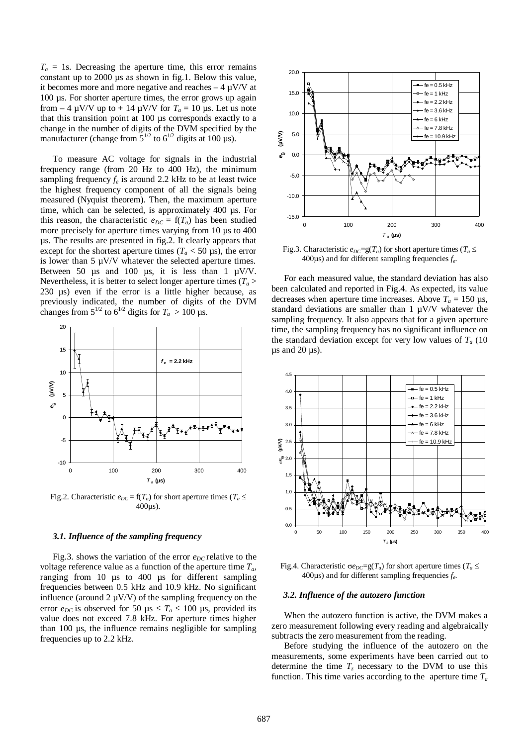$T_a$  = 1s. Decreasing the aperture time, this error remains constant up to 2000 µs as shown in fig.1. Below this value it becomes more and more negative  $\theta$  and  $\theta$  +  $\mu$ V/V at 100 µs. For shorter aperture times, the error grows up agai from  $-4 \mu$ V/V up to  $+ 14 \mu$ V/V for T<sub>a</sub> = 10 µs. Let us note that this transition point at 100  $\mu$ s corresponds exactly to a change in the number of digits of the DVM specified hay manufacturer (change from  $\sqrt[3]{5}$ to  $6^{1/2}$  digits at 100 µs).

To measure AC voltage for signals in the industrial frequency range (from 20 Hz to 400 Hz), the minimum sampling frequenc $t_{\rm e}$  is around 2.2 kHz to be at least twice the highest frequency compent of all the signals being measured (Nyquist theorem). Then, the maximum aperture time, which can be selected, is approximately 400 µs. For this reason, the characteristing  $\epsilon = f(T_a)$  has been studied more precisely for aperture times varying from \$0 \$00 400  $\mu$ s. The results are presented in fig. 2. It clearly appears that except for the shortest aperture times  $\leq 50$  µs), the error is lower than 5 µV/V whatever the selected aperture times. Between 50  $\mu$ s and 100  $\mu$ s, it is less than 1  $\mu$ V/V. Nevertheles, it is better to select longer aperture times ( previously indicated, the number of digits of the DVM decreases when aperture time increases. Above 150 us, changes from  $\frac{1}{2}$  to 6<sup>1/2</sup> digits for T<sub>a</sub> > 100 µs.



Fig.2. Characteristic  $\mathbf{e}_{\text{DC}} = f(T_a)$  for short aperture times  $\oint_{\mathbf{E}} \mathbf{E}$ 400µs).

#### 3.1. Influence of the sampling frequency

Fig.3. shows the variation of the erreg relative to the voltage reference value as a function of the aperture time ranging from 10  $\mu s$  to 400  $\mu s$  for different samplin frequencies between 0.5 kHz and 10.9 kHz. No significant influence (around 2 µV/V) of the sampling frequency on the error  $e_{DC}$  is observed for 50  $\mu$ \$ T<sub>a</sub> £ 100  $\mu$ s, provided its frequencies up to 2.2 kHz.



Fig.3. Characteristi $\mathbf{e}_{DC}=g(T_a)$  for short aperture times  $\oint_{A}$  £ 400 $\mu$ s) and for different sampling frequendies

230 us) even if the error is a little higher because, abeen calculated and reported in Fig.4. As expected, its value For each measured value, the standard deviation has also

standard deviations are maller than 1  $\mu$ V/V whatever the sampling frequency. It also appears that for a given aperture time, the sampling frequency has no significant influence on the standard deviation except for very low value  $\mathbf{F}_{a}$  (10 µs and 20 µs).



Fig.4. Characteristic  $\Theta_{DC}=g(T_a)$  for short aperture times  $I$  £ 400µs) and for different sampling frequendies

#### 3.2. Influence of the autozero function

value does not exceed 7.8 kHz. For aperture times higher When the autozero function is active, the DVM makes a than 100 us, the inflence remains negligible for sampling zero measurement following every reading and algebraically subtracts the zero measurement from the reading.

> Before studying the influence of the autozero on the measurements, one experiments have been carried out to determine the time  $T_z$  necessary to the DVM to use this function. This time varies according to the aperttime  $T_a$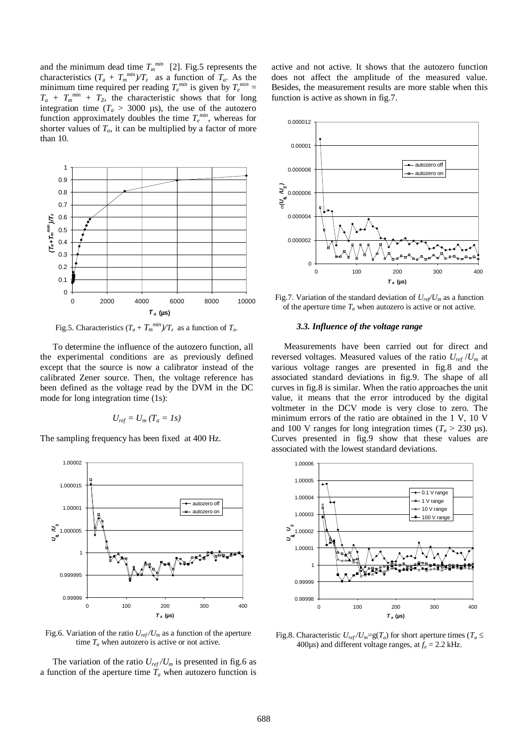and the minimum dead tim $\bar{d}_{m}^{min}$  [2]. Fig.5 represents the active and not active. It shows that the autozero function characteristics  $T_a + T_m^{min}$ )/ $T_z$  as a function of  $T_a$ . As the minimum time required per readin $\mathbf{\bar{g}}^{\min}$  is given by  $T_{\mathrm{e}}^{\min}$  =  $T_a + T_m^{min} + T_Z$ , the characteristic shows that for long function is active as shown in fig.7.

integration time ( $T_a > 3000 \mu s$ ), the use of the autozero function approximately doubles the time min, whereas for shorter values  $\sigma_{a}$ , it can be multiplied by a factor of more than 10.



Fig.5. Characteristics $T_{\text{a}}$  +  $T_{\text{m}}^{\text{min}}$ )/T<sub>z</sub> as a function off<sub>a</sub>.

To determine he influence of the autozero function, all the experimental conditions are as previously definedreversed voltages. Measured values of the tatio U<sub>m</sub> at except that the source is now a calibrator instead of the arious voltage ranges are presented in fig.8 and the calibrated Zener source. Then, the voltage reference hasssociated standard deviations in fig.9. The shape of all been defined as the voltage read by the DMM he DC mode for long integration time (1s):

$$
U_{\text{ref}} = U_{\text{m}} (T_{\text{a}} = 1 \text{s})
$$

The sampling frequency has been fixed at 400 Hz.





The variation of the ratio  $U_{\text{ref}}/U_{\text{m}}$  is presented in fig.6 as a function of the aperture time when autozero function is

does not affect the amplitude of the measured value. Besides, the measurement results **race** estable when this





#### 3.3. Influence of the voltage range

Measurements have breecarried out for direct and curves in fig.8 is similar. When the ratio approaches unit value, it means that the error introduced by the digital voltmeter in the DCV mode is very close to zero. The minimum errors of the ratio are obtained in the 1 V, 10 V and 100 V ranges for long integration time  $\xi \triangleright 230 \mu s$ . Curves presented inigt9 show that these values are associated with the lowest standard deviations.



Fig.8. Characteristi $\mathbf{t}$ <sub>ref</sub> /U<sub>m</sub>=g(T<sub>a</sub>) for short aperture times  $\int_{\mathbf{A}} \mathbf{f}$ 400 $\mu$ s) and different voltage rangesf $_{e}$ at 2.2 kHz.